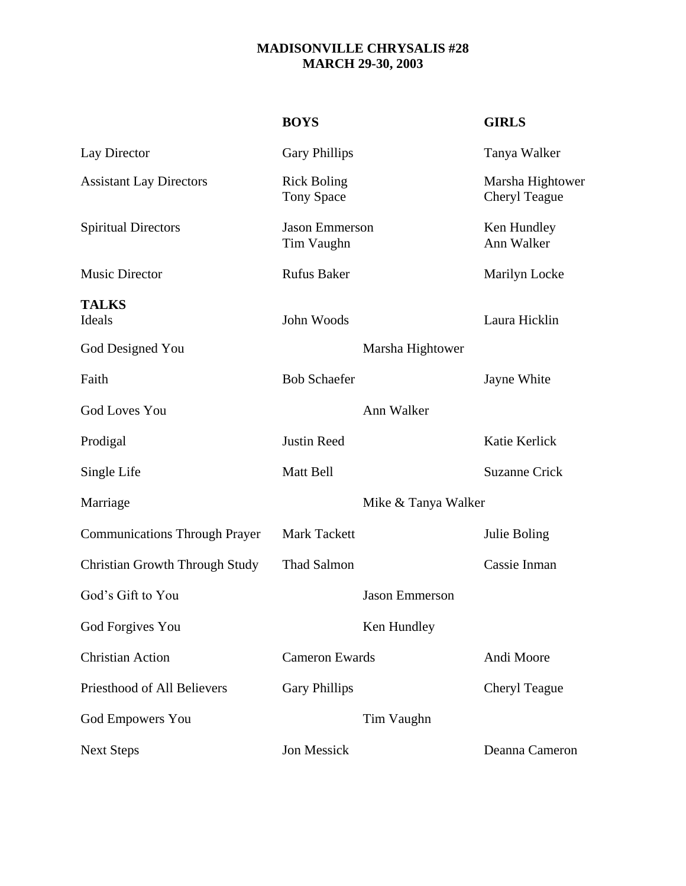## **MADISONVILLE CHRYSALIS #28 MARCH 29-30, 2003**

|                                       | <b>BOYS</b>                             |                       | <b>GIRLS</b>                      |
|---------------------------------------|-----------------------------------------|-----------------------|-----------------------------------|
| Lay Director                          | <b>Gary Phillips</b>                    |                       | Tanya Walker                      |
| <b>Assistant Lay Directors</b>        | <b>Rick Boling</b><br><b>Tony Space</b> |                       | Marsha Hightower<br>Cheryl Teague |
| <b>Spiritual Directors</b>            | <b>Jason Emmerson</b><br>Tim Vaughn     |                       | Ken Hundley<br>Ann Walker         |
| <b>Music Director</b>                 | <b>Rufus Baker</b>                      |                       | Marilyn Locke                     |
| <b>TALKS</b><br>Ideals                | John Woods                              |                       | Laura Hicklin                     |
| God Designed You                      | Marsha Hightower                        |                       |                                   |
| Faith                                 | <b>Bob Schaefer</b>                     |                       | Jayne White                       |
| <b>God Loves You</b>                  | Ann Walker                              |                       |                                   |
| Prodigal                              | <b>Justin Reed</b>                      |                       | Katie Kerlick                     |
| Single Life                           | Matt Bell                               |                       | <b>Suzanne Crick</b>              |
| Marriage                              | Mike & Tanya Walker                     |                       |                                   |
| <b>Communications Through Prayer</b>  | <b>Mark Tackett</b>                     |                       | Julie Boling                      |
| <b>Christian Growth Through Study</b> | <b>Thad Salmon</b>                      |                       | Cassie Inman                      |
| God's Gift to You                     |                                         | <b>Jason Emmerson</b> |                                   |
| God Forgives You                      |                                         | Ken Hundley           |                                   |
| <b>Christian Action</b>               | <b>Cameron Ewards</b>                   |                       | Andi Moore                        |
| Priesthood of All Believers           | <b>Gary Phillips</b>                    |                       | Cheryl Teague                     |
| <b>God Empowers You</b>               |                                         | Tim Vaughn            |                                   |
| <b>Next Steps</b>                     | Jon Messick                             |                       | Deanna Cameron                    |